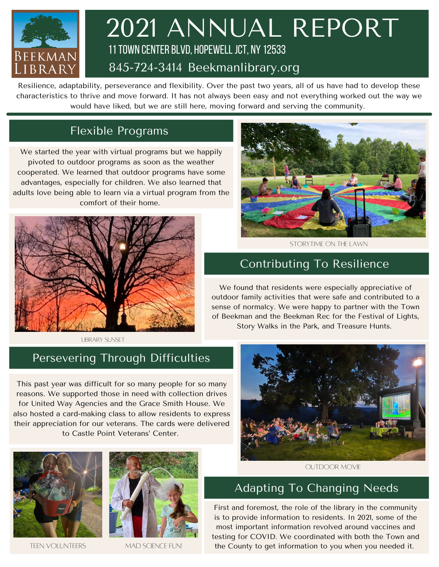

## 2021 ANNUAL REPORT 11 Town Center BLVD, Hopewell jct, ny 12533 845-724-3414 Beekmanlibrary.org

Resilience, adaptability, perseverance and flexibility. Over the past two years, all of us have had to develop these characteristics to thrive and move forward. It has not always been easy and not everything worked out the way we would have liked, but we are still here, moving forward and serving the community.

#### Flexible Programs

We started the year with virtual programs but we happily pivoted to outdoor programs as soon as the weather cooperated. We learned that outdoor programs have some advantages, especially for children. We also learned that adults love being able to learn via a virtual program from the comfort of their home.





Storytime on the lawn

#### Contributing To Resilience

We found that residents were especially appreciative of outdoor family activities that were safe and contributed to a sense of normalcy. We were happy to partner with the Town of Beekman and the Beekman Rec for the Festival of Lights, Story Walks in the Park, and Treasure Hunts.

Library sunset

#### Persevering Through Difficulties

This past year was difficult for so many people for so many reasons. We supported those in need with collection drives for United Way Agencies and the Grace Smith House. We also hosted a card-making class to allow residents to express their appreciation for our veterans. The cards were delivered to Castle Point Veterans' Center.



TEEN VOLUNTEERS MAD SCIENCE FUN!



#### Adapting To Changing Needs

First and foremost, the role of the library in the community is to provide information to residents. In 2021, some of the most important information revolved around vaccines and testing for COVID. We coordinated with both the Town and the County to get information to you when you needed it.